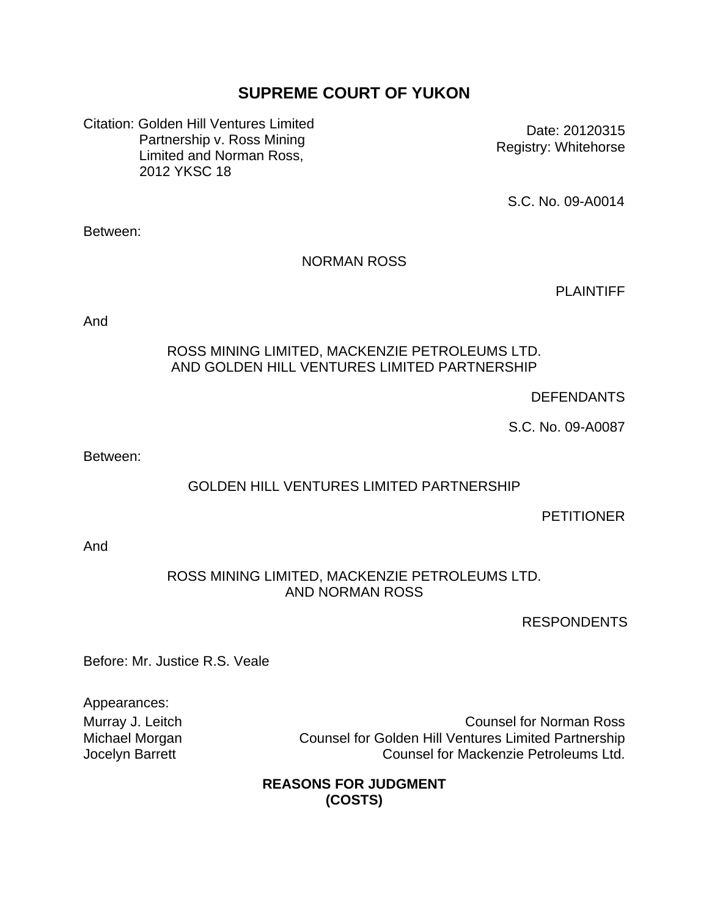# **SUPREME COURT OF YUKON**

Citation: Golden Hill Ventures Limited Partnership v. Ross Mining Limited and Norman Ross, 2012 YKSC 18

Date: 20120315 Registry: Whitehorse

S.C. No. 09-A0014

Between:

### NORMAN ROSS

PLAINTIFF

And

#### ROSS MINING LIMITED, MACKENZIE PETROLEUMS LTD. AND GOLDEN HILL VENTURES LIMITED PARTNERSHIP

### **DEFENDANTS**

S.C. No. 09-A0087

Between:

## GOLDEN HILL VENTURES LIMITED PARTNERSHIP

#### **PETITIONER**

And

#### ROSS MINING LIMITED, MACKENZIE PETROLEUMS LTD. AND NORMAN ROSS

RESPONDENTS

Before: Mr. Justice R.S. Veale

Appearances:

Murray J. Leitch **Counsel for Norman Ross** Michael Morgan Counsel for Golden Hill Ventures Limited Partnership Jocelyn Barrett Counsel for Mackenzie Petroleums Ltd.

### **REASONS FOR JUDGMENT (COSTS)**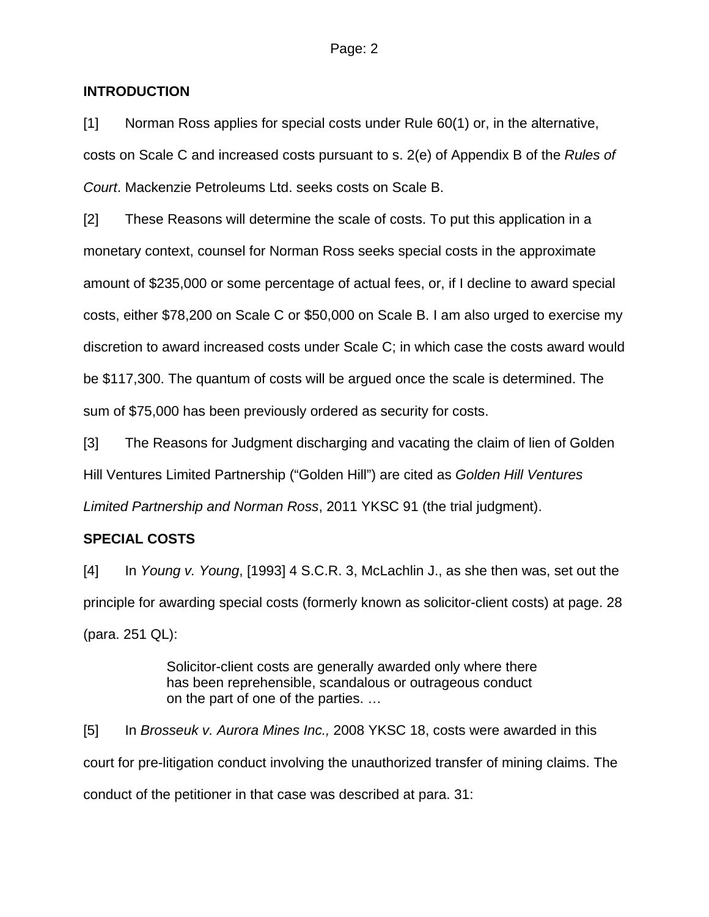#### **INTRODUCTION**

[1] Norman Ross applies for special costs under Rule 60(1) or, in the alternative, costs on Scale C and increased costs pursuant to s. 2(e) of Appendix B of the *Rules of Court*. Mackenzie Petroleums Ltd. seeks costs on Scale B.

[2] These Reasons will determine the scale of costs. To put this application in a monetary context, counsel for Norman Ross seeks special costs in the approximate amount of \$235,000 or some percentage of actual fees, or, if I decline to award special costs, either \$78,200 on Scale C or \$50,000 on Scale B. I am also urged to exercise my discretion to award increased costs under Scale C; in which case the costs award would be \$117,300. The quantum of costs will be argued once the scale is determined. The sum of \$75,000 has been previously ordered as security for costs.

[3] The Reasons for Judgment discharging and vacating the claim of lien of Golden Hill Ventures Limited Partnership ("Golden Hill") are cited as *Golden Hill Ventures Limited Partnership and Norman Ross*, 2011 YKSC 91 (the trial judgment).

### **SPECIAL COSTS**

[4] In *Young v. Young*, [1993] 4 S.C.R. 3, McLachlin J., as she then was, set out the principle for awarding special costs (formerly known as solicitor-client costs) at page. 28 (para. 251 QL):

> Solicitor-client costs are generally awarded only where there has been reprehensible, scandalous or outrageous conduct on the part of one of the parties. …

[5] In *Brosseuk v. Aurora Mines Inc.,* 2008 YKSC 18, costs were awarded in this court for pre-litigation conduct involving the unauthorized transfer of mining claims. The conduct of the petitioner in that case was described at para. 31: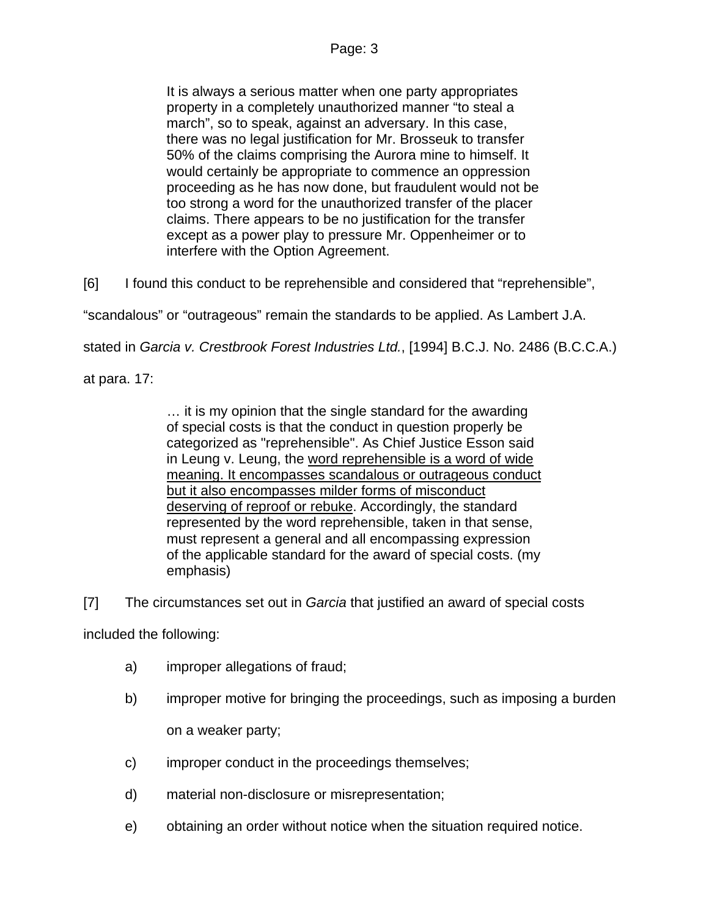It is always a serious matter when one party appropriates property in a completely unauthorized manner "to steal a march", so to speak, against an adversary. In this case, there was no legal justification for Mr. Brosseuk to transfer 50% of the claims comprising the Aurora mine to himself. It would certainly be appropriate to commence an oppression proceeding as he has now done, but fraudulent would not be too strong a word for the unauthorized transfer of the placer claims. There appears to be no justification for the transfer except as a power play to pressure Mr. Oppenheimer or to interfere with the Option Agreement.

[6] I found this conduct to be reprehensible and considered that "reprehensible",

"scandalous" or "outrageous" remain the standards to be applied. As Lambert J.A.

stated in *Garcia v. Crestbrook Forest Industries Ltd.*, [1994] B.C.J. No. 2486 (B.C.C.A.)

at para. 17:

… it is my opinion that the single standard for the awarding of special costs is that the conduct in question properly be categorized as "reprehensible". As Chief Justice Esson said in Leung v. Leung, the word reprehensible is a word of wide meaning. It encompasses scandalous or outrageous conduct but it also encompasses milder forms of misconduct deserving of reproof or rebuke. Accordingly, the standard represented by the word reprehensible, taken in that sense, must represent a general and all encompassing expression of the applicable standard for the award of special costs. (my emphasis)

[7] The circumstances set out in *Garcia* that justified an award of special costs

included the following:

- a) improper allegations of fraud;
- b) improper motive for bringing the proceedings, such as imposing a burden on a weaker party;

- c) improper conduct in the proceedings themselves;
- d) material non-disclosure or misrepresentation;
- e) obtaining an order without notice when the situation required notice.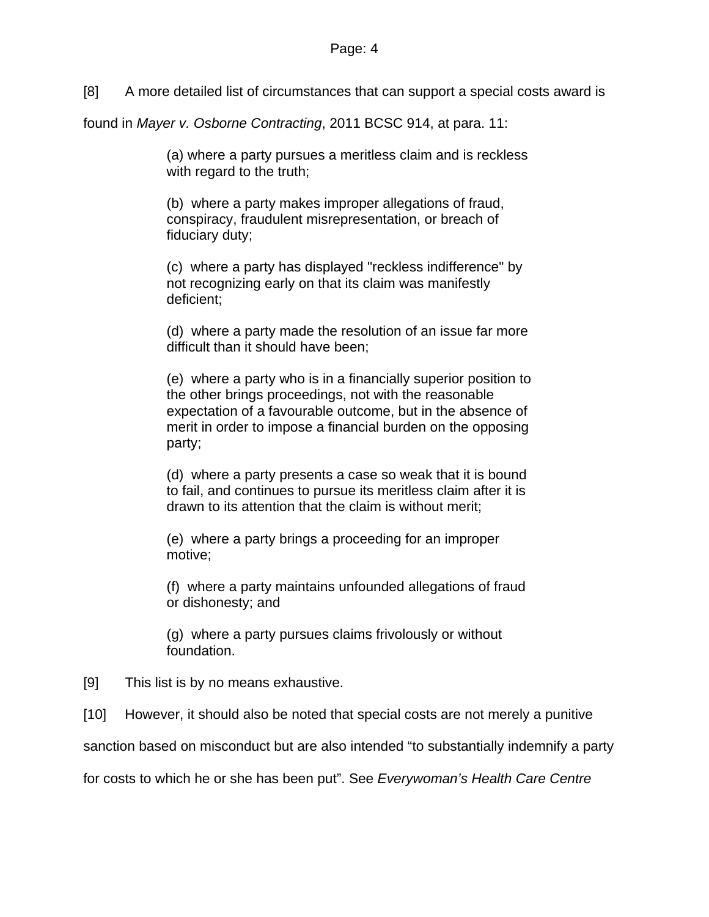[8] A more detailed list of circumstances that can support a special costs award is

found in *Mayer v. Osborne Contracting*, 2011 BCSC 914, at para. 11:

(a) where a party pursues a meritless claim and is reckless with regard to the truth;

(b) where a party makes improper allegations of fraud, conspiracy, fraudulent misrepresentation, or breach of fiduciary duty;

(c) where a party has displayed "reckless indifference" by not recognizing early on that its claim was manifestly deficient;

(d) where a party made the resolution of an issue far more difficult than it should have been;

(e) where a party who is in a financially superior position to the other brings proceedings, not with the reasonable expectation of a favourable outcome, but in the absence of merit in order to impose a financial burden on the opposing party;

(d) where a party presents a case so weak that it is bound to fail, and continues to pursue its meritless claim after it is drawn to its attention that the claim is without merit;

(e) where a party brings a proceeding for an improper motive;

(f) where a party maintains unfounded allegations of fraud or dishonesty; and

(g) where a party pursues claims frivolously or without foundation.

[9] This list is by no means exhaustive.

[10] However, it should also be noted that special costs are not merely a punitive

sanction based on misconduct but are also intended "to substantially indemnify a party

for costs to which he or she has been put". See *Everywoman's Health Care Centre*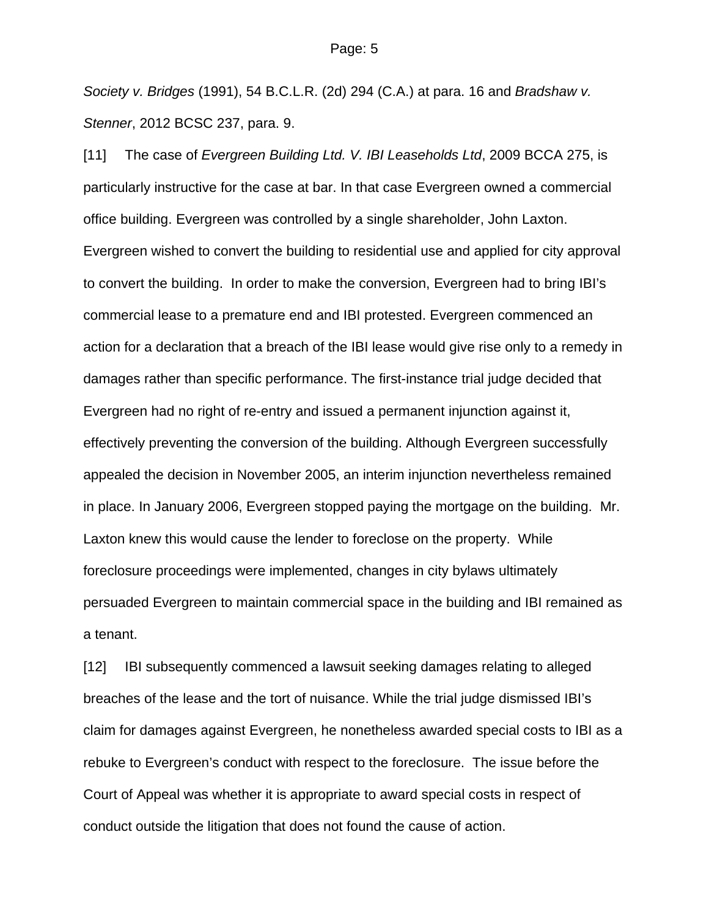*Society v. Bridges* (1991), 54 B.C.L.R. (2d) 294 (C.A.) at para. 16 and *Bradshaw v. Stenner*, 2012 BCSC 237, para. 9.

[11] The case of *Evergreen Building Ltd. V. IBI Leaseholds Ltd*, 2009 BCCA 275, is particularly instructive for the case at bar. In that case Evergreen owned a commercial office building. Evergreen was controlled by a single shareholder, John Laxton. Evergreen wished to convert the building to residential use and applied for city approval to convert the building. In order to make the conversion, Evergreen had to bring IBI's commercial lease to a premature end and IBI protested. Evergreen commenced an action for a declaration that a breach of the IBI lease would give rise only to a remedy in damages rather than specific performance. The first-instance trial judge decided that Evergreen had no right of re-entry and issued a permanent injunction against it, effectively preventing the conversion of the building. Although Evergreen successfully appealed the decision in November 2005, an interim injunction nevertheless remained in place. In January 2006, Evergreen stopped paying the mortgage on the building. Mr. Laxton knew this would cause the lender to foreclose on the property. While foreclosure proceedings were implemented, changes in city bylaws ultimately persuaded Evergreen to maintain commercial space in the building and IBI remained as a tenant.

[12] IBI subsequently commenced a lawsuit seeking damages relating to alleged breaches of the lease and the tort of nuisance. While the trial judge dismissed IBI's claim for damages against Evergreen, he nonetheless awarded special costs to IBI as a rebuke to Evergreen's conduct with respect to the foreclosure. The issue before the Court of Appeal was whether it is appropriate to award special costs in respect of conduct outside the litigation that does not found the cause of action.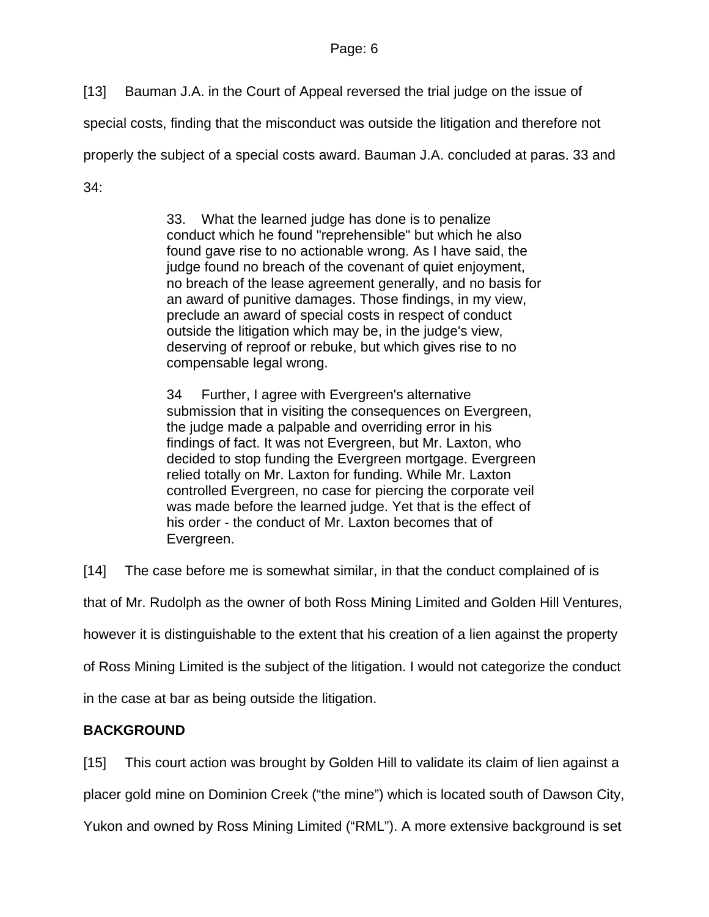[13] Bauman J.A. in the Court of Appeal reversed the trial judge on the issue of

special costs, finding that the misconduct was outside the litigation and therefore not

properly the subject of a special costs award. Bauman J.A. concluded at paras. 33 and

34:

33. What the learned judge has done is to penalize conduct which he found "reprehensible" but which he also found gave rise to no actionable wrong. As I have said, the judge found no breach of the covenant of quiet enjoyment, no breach of the lease agreement generally, and no basis for an award of punitive damages. Those findings, in my view, preclude an award of special costs in respect of conduct outside the litigation which may be, in the judge's view, deserving of reproof or rebuke, but which gives rise to no compensable legal wrong.

34 Further, I agree with Evergreen's alternative submission that in visiting the consequences on Evergreen, the judge made a palpable and overriding error in his findings of fact. It was not Evergreen, but Mr. Laxton, who decided to stop funding the Evergreen mortgage. Evergreen relied totally on Mr. Laxton for funding. While Mr. Laxton controlled Evergreen, no case for piercing the corporate veil was made before the learned judge. Yet that is the effect of his order - the conduct of Mr. Laxton becomes that of Evergreen.

[14] The case before me is somewhat similar, in that the conduct complained of is

that of Mr. Rudolph as the owner of both Ross Mining Limited and Golden Hill Ventures,

however it is distinguishable to the extent that his creation of a lien against the property

of Ross Mining Limited is the subject of the litigation. I would not categorize the conduct

in the case at bar as being outside the litigation.

# **BACKGROUND**

[15] This court action was brought by Golden Hill to validate its claim of lien against a

placer gold mine on Dominion Creek ("the mine") which is located south of Dawson City,

Yukon and owned by Ross Mining Limited ("RML"). A more extensive background is set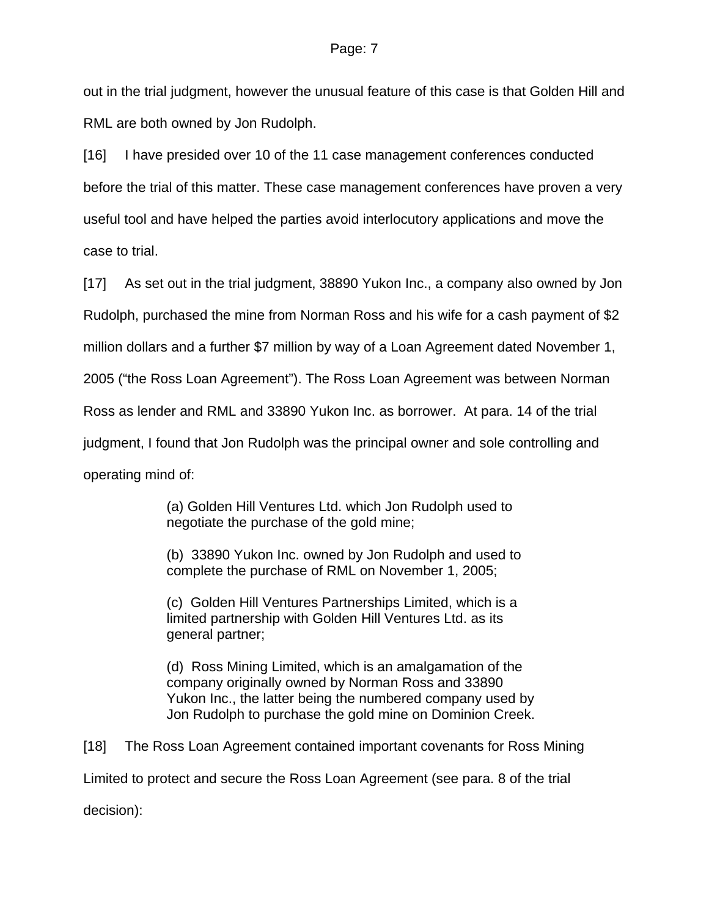out in the trial judgment, however the unusual feature of this case is that Golden Hill and RML are both owned by Jon Rudolph.

[16] I have presided over 10 of the 11 case management conferences conducted before the trial of this matter. These case management conferences have proven a very useful tool and have helped the parties avoid interlocutory applications and move the case to trial.

[17] As set out in the trial judgment, 38890 Yukon Inc., a company also owned by Jon Rudolph, purchased the mine from Norman Ross and his wife for a cash payment of \$2 million dollars and a further \$7 million by way of a Loan Agreement dated November 1, 2005 ("the Ross Loan Agreement"). The Ross Loan Agreement was between Norman Ross as lender and RML and 33890 Yukon Inc. as borrower. At para. 14 of the trial judgment, I found that Jon Rudolph was the principal owner and sole controlling and operating mind of:

> (a) Golden Hill Ventures Ltd. which Jon Rudolph used to negotiate the purchase of the gold mine;

(b) 33890 Yukon Inc. owned by Jon Rudolph and used to complete the purchase of RML on November 1, 2005;

(c) Golden Hill Ventures Partnerships Limited, which is a limited partnership with Golden Hill Ventures Ltd. as its general partner;

(d) Ross Mining Limited, which is an amalgamation of the company originally owned by Norman Ross and 33890 Yukon Inc., the latter being the numbered company used by Jon Rudolph to purchase the gold mine on Dominion Creek.

[18] The Ross Loan Agreement contained important covenants for Ross Mining Limited to protect and secure the Ross Loan Agreement (see para. 8 of the trial

decision):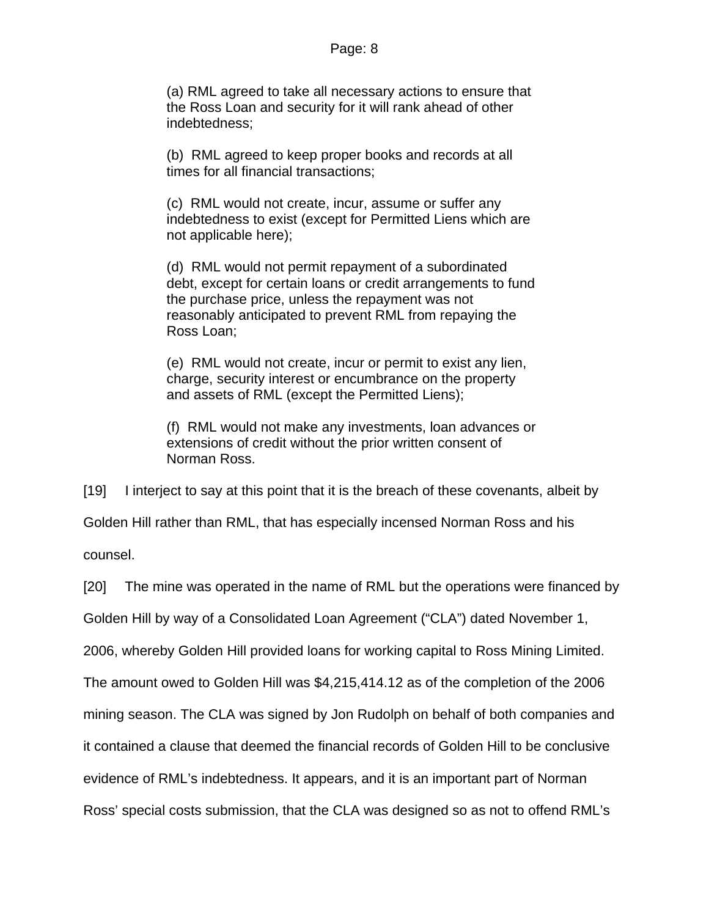(a) RML agreed to take all necessary actions to ensure that the Ross Loan and security for it will rank ahead of other indebtedness;

(b) RML agreed to keep proper books and records at all times for all financial transactions;

(c) RML would not create, incur, assume or suffer any indebtedness to exist (except for Permitted Liens which are not applicable here);

(d) RML would not permit repayment of a subordinated debt, except for certain loans or credit arrangements to fund the purchase price, unless the repayment was not reasonably anticipated to prevent RML from repaying the Ross Loan;

(e) RML would not create, incur or permit to exist any lien, charge, security interest or encumbrance on the property and assets of RML (except the Permitted Liens);

(f) RML would not make any investments, loan advances or extensions of credit without the prior written consent of Norman Ross.

[19] I interject to say at this point that it is the breach of these covenants, albeit by Golden Hill rather than RML, that has especially incensed Norman Ross and his

counsel.

[20] The mine was operated in the name of RML but the operations were financed by

Golden Hill by way of a Consolidated Loan Agreement ("CLA") dated November 1,

2006, whereby Golden Hill provided loans for working capital to Ross Mining Limited.

The amount owed to Golden Hill was \$4,215,414.12 as of the completion of the 2006

mining season. The CLA was signed by Jon Rudolph on behalf of both companies and

it contained a clause that deemed the financial records of Golden Hill to be conclusive

evidence of RML's indebtedness. It appears, and it is an important part of Norman

Ross' special costs submission, that the CLA was designed so as not to offend RML's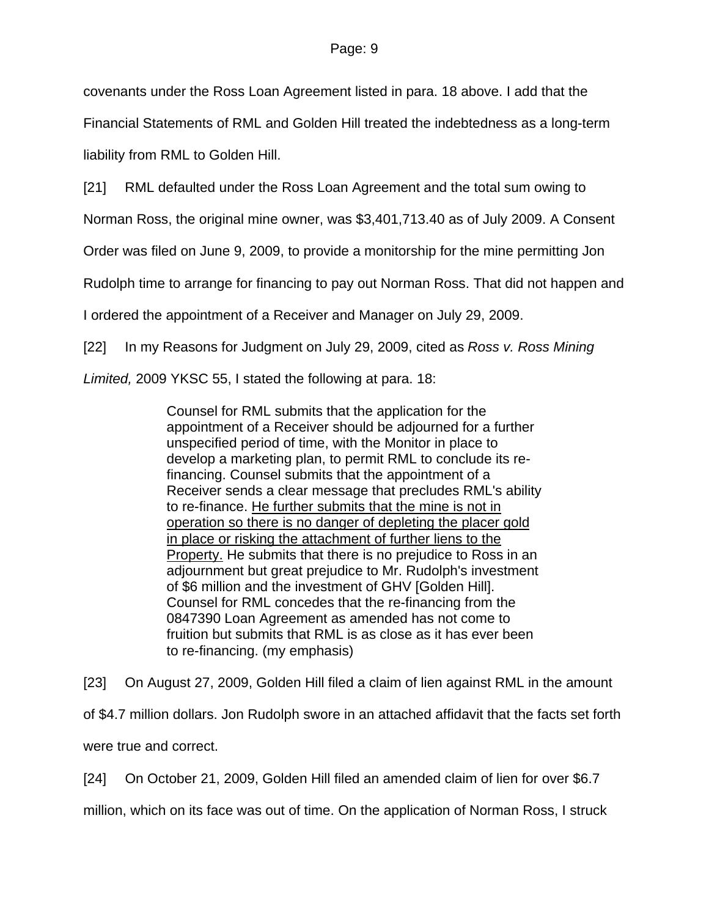covenants under the Ross Loan Agreement listed in para. 18 above. I add that the

Financial Statements of RML and Golden Hill treated the indebtedness as a long-term liability from RML to Golden Hill.

[21] RML defaulted under the Ross Loan Agreement and the total sum owing to

Norman Ross, the original mine owner, was \$3,401,713.40 as of July 2009. A Consent

Order was filed on June 9, 2009, to provide a monitorship for the mine permitting Jon

Rudolph time to arrange for financing to pay out Norman Ross. That did not happen and

I ordered the appointment of a Receiver and Manager on July 29, 2009.

[22] In my Reasons for Judgment on July 29, 2009, cited as *Ross v. Ross Mining* 

*Limited,* 2009 YKSC 55, I stated the following at para. 18:

Counsel for RML submits that the application for the appointment of a Receiver should be adjourned for a further unspecified period of time, with the Monitor in place to develop a marketing plan, to permit RML to conclude its refinancing. Counsel submits that the appointment of a Receiver sends a clear message that precludes RML's ability to re-finance. He further submits that the mine is not in operation so there is no danger of depleting the placer gold in place or risking the attachment of further liens to the Property. He submits that there is no prejudice to Ross in an adjournment but great prejudice to Mr. Rudolph's investment of \$6 million and the investment of GHV [Golden Hill]. Counsel for RML concedes that the re-financing from the 0847390 Loan Agreement as amended has not come to fruition but submits that RML is as close as it has ever been to re-financing. (my emphasis)

[23] On August 27, 2009, Golden Hill filed a claim of lien against RML in the amount of \$4.7 million dollars. Jon Rudolph swore in an attached affidavit that the facts set forth were true and correct.

[24] On October 21, 2009, Golden Hill filed an amended claim of lien for over \$6.7

million, which on its face was out of time. On the application of Norman Ross, I struck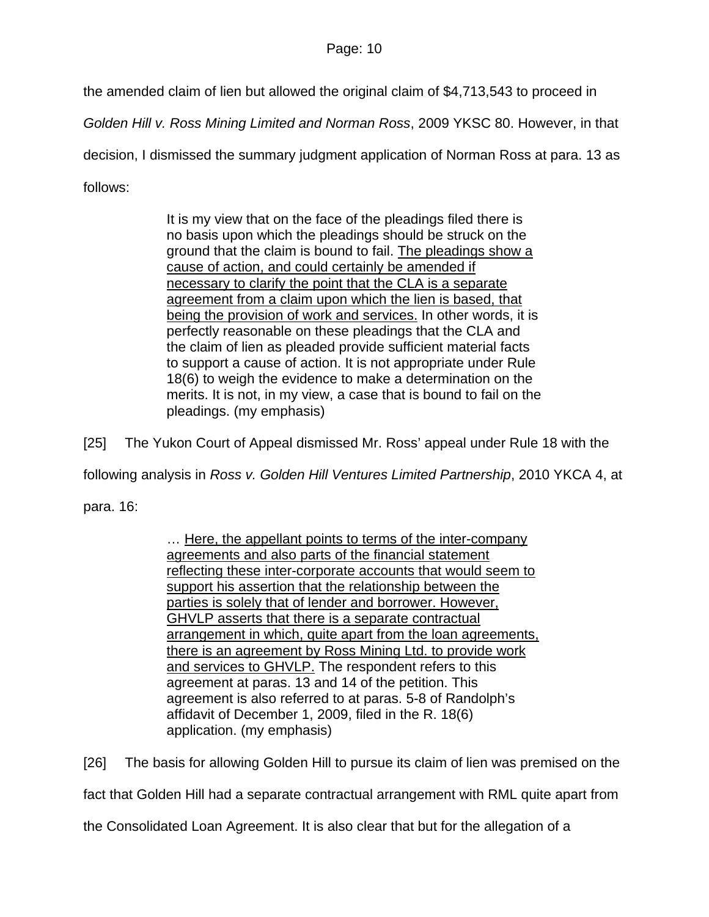the amended claim of lien but allowed the original claim of \$4,713,543 to proceed in

*Golden Hill v. Ross Mining Limited and Norman Ross*, 2009 YKSC 80. However, in that

decision, I dismissed the summary judgment application of Norman Ross at para. 13 as

follows:

It is my view that on the face of the pleadings filed there is no basis upon which the pleadings should be struck on the ground that the claim is bound to fail. The pleadings show a cause of action, and could certainly be amended if necessary to clarify the point that the CLA is a separate agreement from a claim upon which the lien is based, that being the provision of work and services. In other words, it is perfectly reasonable on these pleadings that the CLA and the claim of lien as pleaded provide sufficient material facts to support a cause of action. It is not appropriate under Rule 18(6) to weigh the evidence to make a determination on the merits. It is not, in my view, a case that is bound to fail on the pleadings. (my emphasis)

[25] The Yukon Court of Appeal dismissed Mr. Ross' appeal under Rule 18 with the

following analysis in *Ross v. Golden Hill Ventures Limited Partnership*, 2010 YKCA 4, at

para. 16:

... Here, the appellant points to terms of the inter-company agreements and also parts of the financial statement reflecting these inter-corporate accounts that would seem to support his assertion that the relationship between the parties is solely that of lender and borrower. However, GHVLP asserts that there is a separate contractual arrangement in which, quite apart from the loan agreements, there is an agreement by Ross Mining Ltd. to provide work and services to GHVLP. The respondent refers to this agreement at paras. 13 and 14 of the petition. This agreement is also referred to at paras. 5-8 of Randolph's affidavit of December 1, 2009, filed in the R. 18(6) application. (my emphasis)

[26] The basis for allowing Golden Hill to pursue its claim of lien was premised on the

fact that Golden Hill had a separate contractual arrangement with RML quite apart from

the Consolidated Loan Agreement. It is also clear that but for the allegation of a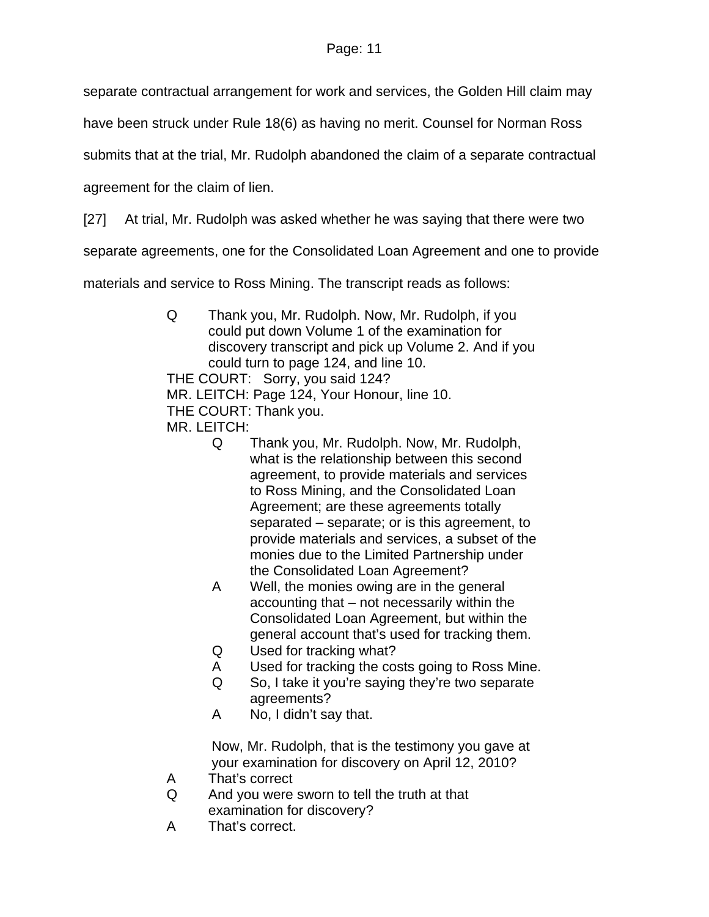separate contractual arrangement for work and services, the Golden Hill claim may

have been struck under Rule 18(6) as having no merit. Counsel for Norman Ross

submits that at the trial, Mr. Rudolph abandoned the claim of a separate contractual

agreement for the claim of lien.

[27] At trial, Mr. Rudolph was asked whether he was saying that there were two

separate agreements, one for the Consolidated Loan Agreement and one to provide

materials and service to Ross Mining. The transcript reads as follows:

- Q Thank you, Mr. Rudolph. Now, Mr. Rudolph, if you could put down Volume 1 of the examination for discovery transcript and pick up Volume 2. And if you could turn to page 124, and line 10. THE COURT: Sorry, you said 124? MR. LEITCH: Page 124, Your Honour, line 10. THE COURT: Thank you. MR. LEITCH:
	- Q Thank you, Mr. Rudolph. Now, Mr. Rudolph, what is the relationship between this second agreement, to provide materials and services to Ross Mining, and the Consolidated Loan Agreement; are these agreements totally separated – separate; or is this agreement, to provide materials and services, a subset of the monies due to the Limited Partnership under the Consolidated Loan Agreement?
	- A Well, the monies owing are in the general accounting that – not necessarily within the Consolidated Loan Agreement, but within the general account that's used for tracking them.
	- Q Used for tracking what?
	- A Used for tracking the costs going to Ross Mine.
	- Q So, I take it you're saying they're two separate agreements?
	- A No, I didn't say that.

Now, Mr. Rudolph, that is the testimony you gave at your examination for discovery on April 12, 2010?

- A That's correct
- Q And you were sworn to tell the truth at that examination for discovery?
- A That's correct.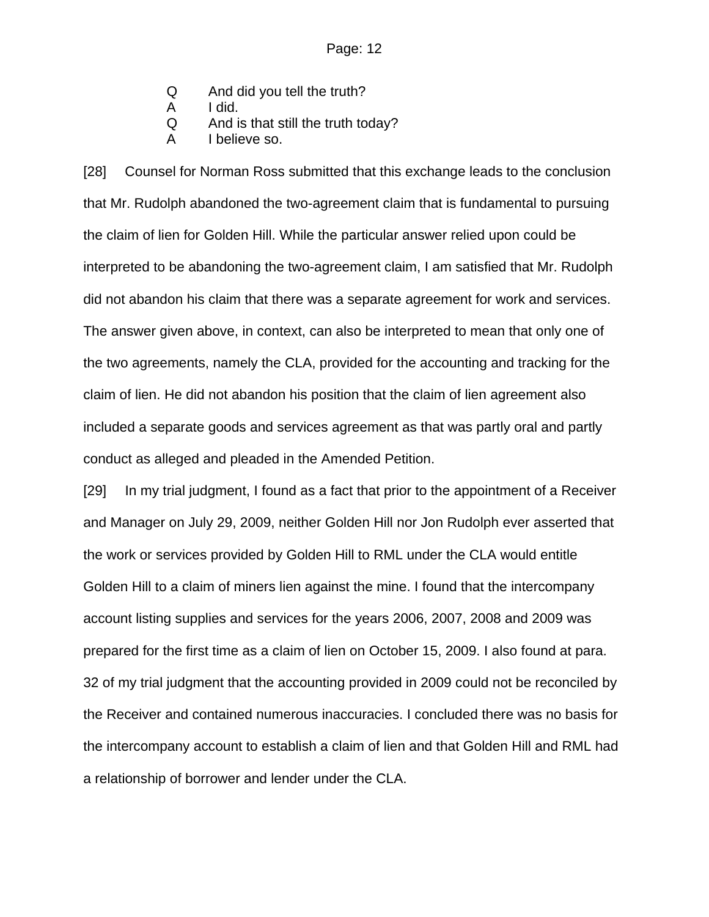- Q And did you tell the truth?
- A I did.
- Q And is that still the truth today?
- A I believe so.

[28] Counsel for Norman Ross submitted that this exchange leads to the conclusion that Mr. Rudolph abandoned the two-agreement claim that is fundamental to pursuing the claim of lien for Golden Hill. While the particular answer relied upon could be interpreted to be abandoning the two-agreement claim, I am satisfied that Mr. Rudolph did not abandon his claim that there was a separate agreement for work and services. The answer given above, in context, can also be interpreted to mean that only one of the two agreements, namely the CLA, provided for the accounting and tracking for the claim of lien. He did not abandon his position that the claim of lien agreement also included a separate goods and services agreement as that was partly oral and partly conduct as alleged and pleaded in the Amended Petition.

[29] In my trial judgment, I found as a fact that prior to the appointment of a Receiver and Manager on July 29, 2009, neither Golden Hill nor Jon Rudolph ever asserted that the work or services provided by Golden Hill to RML under the CLA would entitle Golden Hill to a claim of miners lien against the mine. I found that the intercompany account listing supplies and services for the years 2006, 2007, 2008 and 2009 was prepared for the first time as a claim of lien on October 15, 2009. I also found at para. 32 of my trial judgment that the accounting provided in 2009 could not be reconciled by the Receiver and contained numerous inaccuracies. I concluded there was no basis for the intercompany account to establish a claim of lien and that Golden Hill and RML had a relationship of borrower and lender under the CLA.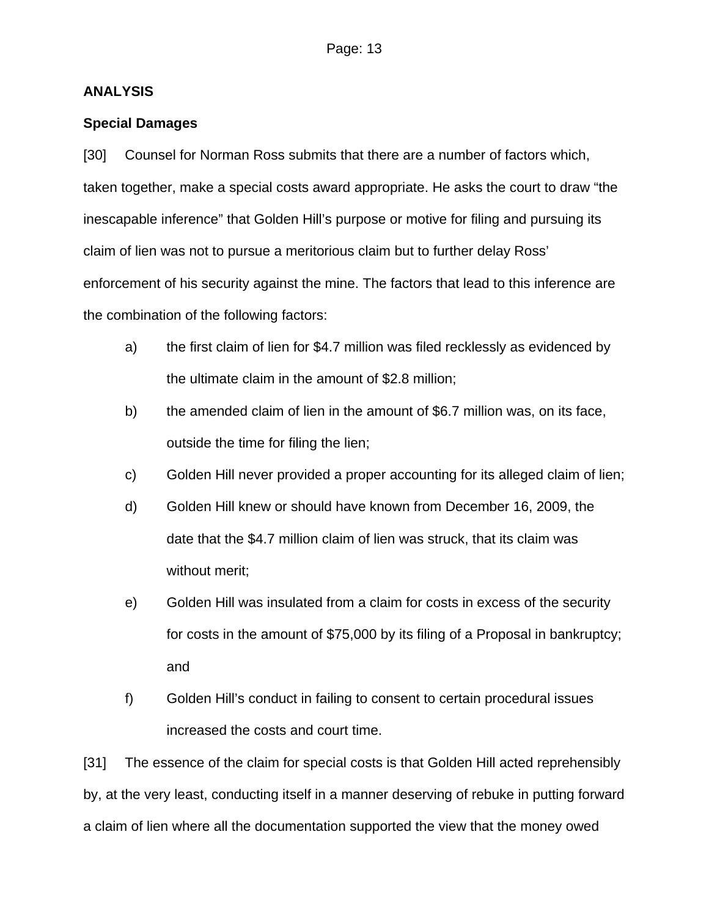### **ANALYSIS**

## **Special Damages**

[30] Counsel for Norman Ross submits that there are a number of factors which, taken together, make a special costs award appropriate. He asks the court to draw "the inescapable inference" that Golden Hill's purpose or motive for filing and pursuing its claim of lien was not to pursue a meritorious claim but to further delay Ross' enforcement of his security against the mine. The factors that lead to this inference are the combination of the following factors:

- a) the first claim of lien for \$4.7 million was filed recklessly as evidenced by the ultimate claim in the amount of \$2.8 million;
- b) the amended claim of lien in the amount of \$6.7 million was, on its face, outside the time for filing the lien;
- c) Golden Hill never provided a proper accounting for its alleged claim of lien;
- d) Golden Hill knew or should have known from December 16, 2009, the date that the \$4.7 million claim of lien was struck, that its claim was without merit;
- e) Golden Hill was insulated from a claim for costs in excess of the security for costs in the amount of \$75,000 by its filing of a Proposal in bankruptcy; and
- f) Golden Hill's conduct in failing to consent to certain procedural issues increased the costs and court time.

[31] The essence of the claim for special costs is that Golden Hill acted reprehensibly by, at the very least, conducting itself in a manner deserving of rebuke in putting forward a claim of lien where all the documentation supported the view that the money owed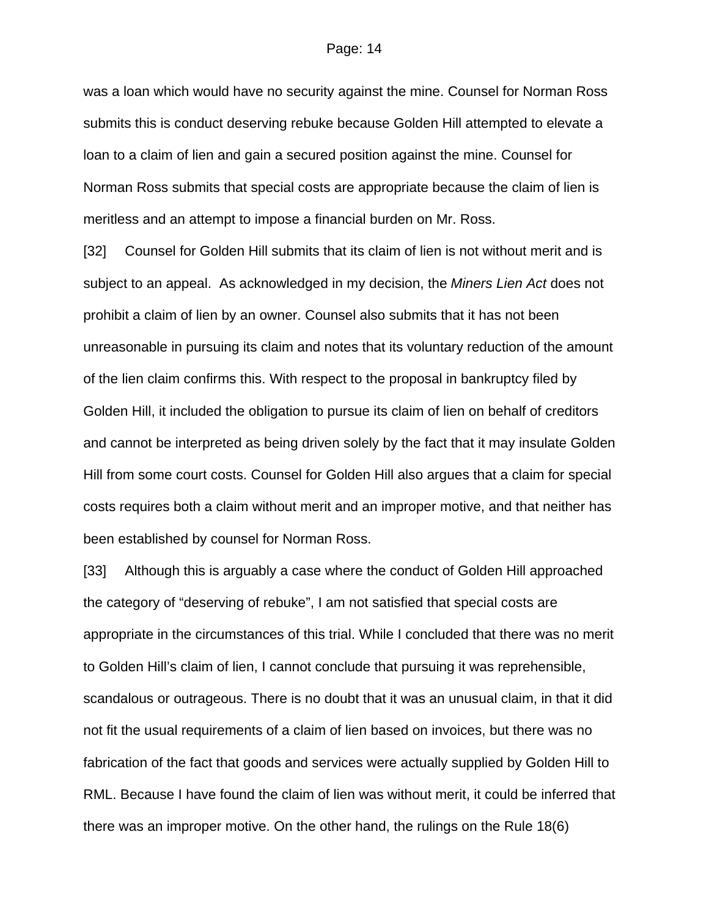was a loan which would have no security against the mine. Counsel for Norman Ross submits this is conduct deserving rebuke because Golden Hill attempted to elevate a loan to a claim of lien and gain a secured position against the mine. Counsel for Norman Ross submits that special costs are appropriate because the claim of lien is meritless and an attempt to impose a financial burden on Mr. Ross.

[32] Counsel for Golden Hill submits that its claim of lien is not without merit and is subject to an appeal. As acknowledged in my decision, the *Miners Lien Act* does not prohibit a claim of lien by an owner. Counsel also submits that it has not been unreasonable in pursuing its claim and notes that its voluntary reduction of the amount of the lien claim confirms this. With respect to the proposal in bankruptcy filed by Golden Hill, it included the obligation to pursue its claim of lien on behalf of creditors and cannot be interpreted as being driven solely by the fact that it may insulate Golden Hill from some court costs. Counsel for Golden Hill also argues that a claim for special costs requires both a claim without merit and an improper motive, and that neither has been established by counsel for Norman Ross.

[33] Although this is arguably a case where the conduct of Golden Hill approached the category of "deserving of rebuke", I am not satisfied that special costs are appropriate in the circumstances of this trial. While I concluded that there was no merit to Golden Hill's claim of lien, I cannot conclude that pursuing it was reprehensible, scandalous or outrageous. There is no doubt that it was an unusual claim, in that it did not fit the usual requirements of a claim of lien based on invoices, but there was no fabrication of the fact that goods and services were actually supplied by Golden Hill to RML. Because I have found the claim of lien was without merit, it could be inferred that there was an improper motive. On the other hand, the rulings on the Rule 18(6)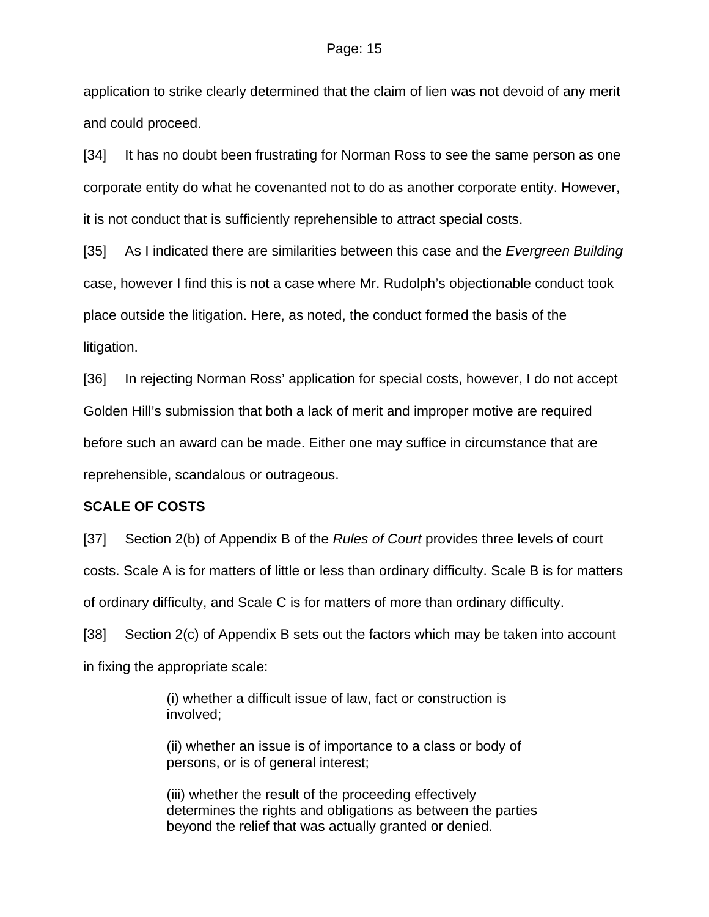application to strike clearly determined that the claim of lien was not devoid of any merit and could proceed.

[34] It has no doubt been frustrating for Norman Ross to see the same person as one corporate entity do what he covenanted not to do as another corporate entity. However, it is not conduct that is sufficiently reprehensible to attract special costs.

[35] As I indicated there are similarities between this case and the *Evergreen Building* case, however I find this is not a case where Mr. Rudolph's objectionable conduct took place outside the litigation. Here, as noted, the conduct formed the basis of the litigation.

[36] In rejecting Norman Ross' application for special costs, however, I do not accept Golden Hill's submission that both a lack of merit and improper motive are required before such an award can be made. Either one may suffice in circumstance that are reprehensible, scandalous or outrageous.

#### **SCALE OF COSTS**

[37] Section 2(b) of Appendix B of the *Rules of Court* provides three levels of court costs. Scale A is for matters of little or less than ordinary difficulty. Scale B is for matters of ordinary difficulty, and Scale C is for matters of more than ordinary difficulty.

[38] Section 2(c) of Appendix B sets out the factors which may be taken into account in fixing the appropriate scale:

> (i) whether a difficult issue of law, fact or construction is involved;

(ii) whether an issue is of importance to a class or body of persons, or is of general interest;

(iii) whether the result of the proceeding effectively determines the rights and obligations as between the parties beyond the relief that was actually granted or denied.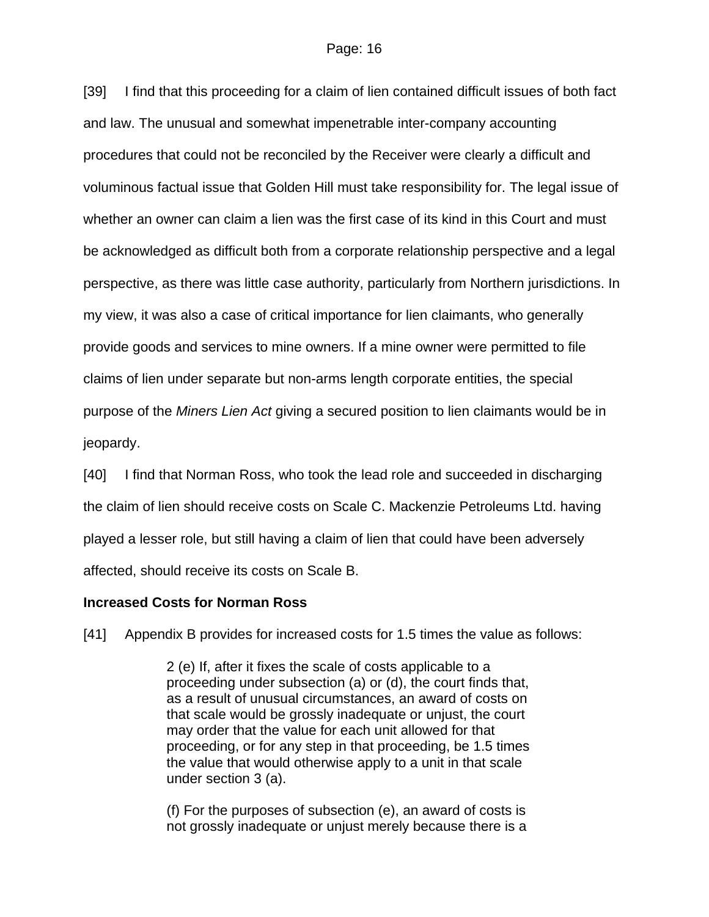[39] I find that this proceeding for a claim of lien contained difficult issues of both fact and law. The unusual and somewhat impenetrable inter-company accounting procedures that could not be reconciled by the Receiver were clearly a difficult and voluminous factual issue that Golden Hill must take responsibility for. The legal issue of whether an owner can claim a lien was the first case of its kind in this Court and must be acknowledged as difficult both from a corporate relationship perspective and a legal perspective, as there was little case authority, particularly from Northern jurisdictions. In my view, it was also a case of critical importance for lien claimants, who generally provide goods and services to mine owners. If a mine owner were permitted to file claims of lien under separate but non-arms length corporate entities, the special purpose of the *Miners Lien Act* giving a secured position to lien claimants would be in jeopardy.

[40] I find that Norman Ross, who took the lead role and succeeded in discharging the claim of lien should receive costs on Scale C. Mackenzie Petroleums Ltd. having played a lesser role, but still having a claim of lien that could have been adversely affected, should receive its costs on Scale B.

### **Increased Costs for Norman Ross**

[41] Appendix B provides for increased costs for 1.5 times the value as follows:

2 (e) If, after it fixes the scale of costs applicable to a proceeding under subsection (a) or (d), the court finds that, as a result of unusual circumstances, an award of costs on that scale would be grossly inadequate or unjust, the court may order that the value for each unit allowed for that proceeding, or for any step in that proceeding, be 1.5 times the value that would otherwise apply to a unit in that scale under section 3 (a).

(f) For the purposes of subsection (e), an award of costs is not grossly inadequate or unjust merely because there is a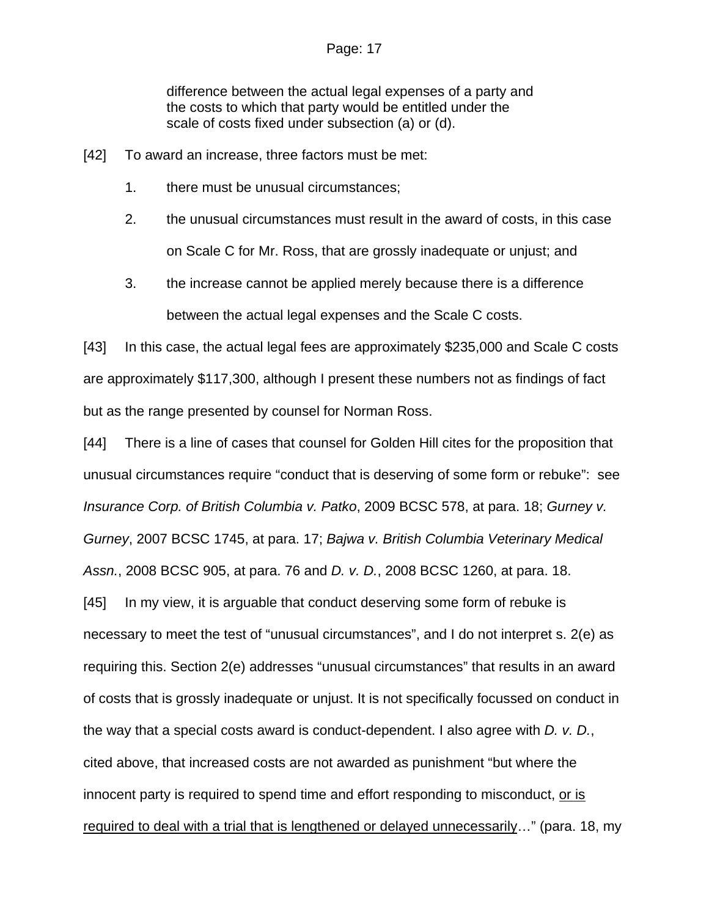#### Page: 17

difference between the actual legal expenses of a party and the costs to which that party would be entitled under the scale of costs fixed under subsection (a) or (d).

- [42] To award an increase, three factors must be met:
	- 1. there must be unusual circumstances;
	- 2. the unusual circumstances must result in the award of costs, in this case on Scale C for Mr. Ross, that are grossly inadequate or unjust; and
	- 3. the increase cannot be applied merely because there is a difference between the actual legal expenses and the Scale C costs.

[43] In this case, the actual legal fees are approximately \$235,000 and Scale C costs are approximately \$117,300, although I present these numbers not as findings of fact but as the range presented by counsel for Norman Ross.

[44] There is a line of cases that counsel for Golden Hill cites for the proposition that unusual circumstances require "conduct that is deserving of some form or rebuke": see *Insurance Corp. of British Columbia v. Patko*, 2009 BCSC 578, at para. 18; *Gurney v. Gurney*, 2007 BCSC 1745, at para. 17; *Bajwa v. British Columbia Veterinary Medical Assn.*, 2008 BCSC 905, at para. 76 and *D. v. D.*, 2008 BCSC 1260, at para. 18. [45] In my view, it is arguable that conduct deserving some form of rebuke is necessary to meet the test of "unusual circumstances", and I do not interpret s. 2(e) as requiring this. Section 2(e) addresses "unusual circumstances" that results in an award of costs that is grossly inadequate or unjust. It is not specifically focussed on conduct in the way that a special costs award is conduct-dependent. I also agree with *D. v. D.*, cited above, that increased costs are not awarded as punishment "but where the innocent party is required to spend time and effort responding to misconduct, or is required to deal with a trial that is lengthened or delayed unnecessarily…" (para. 18, my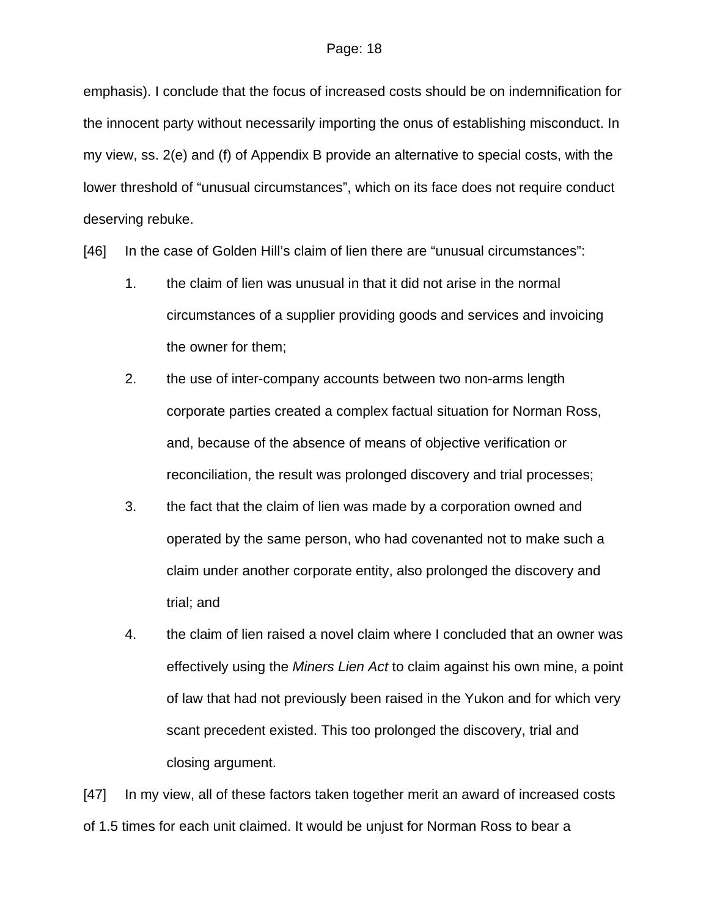emphasis). I conclude that the focus of increased costs should be on indemnification for the innocent party without necessarily importing the onus of establishing misconduct. In my view, ss. 2(e) and (f) of Appendix B provide an alternative to special costs, with the lower threshold of "unusual circumstances", which on its face does not require conduct deserving rebuke.

[46] In the case of Golden Hill's claim of lien there are "unusual circumstances":

- 1. the claim of lien was unusual in that it did not arise in the normal circumstances of a supplier providing goods and services and invoicing the owner for them;
- 2. the use of inter-company accounts between two non-arms length corporate parties created a complex factual situation for Norman Ross, and, because of the absence of means of objective verification or reconciliation, the result was prolonged discovery and trial processes;
- 3. the fact that the claim of lien was made by a corporation owned and operated by the same person, who had covenanted not to make such a claim under another corporate entity, also prolonged the discovery and trial; and
- 4. the claim of lien raised a novel claim where I concluded that an owner was effectively using the *Miners Lien Act* to claim against his own mine, a point of law that had not previously been raised in the Yukon and for which very scant precedent existed. This too prolonged the discovery, trial and closing argument.

[47] In my view, all of these factors taken together merit an award of increased costs of 1.5 times for each unit claimed. It would be unjust for Norman Ross to bear a